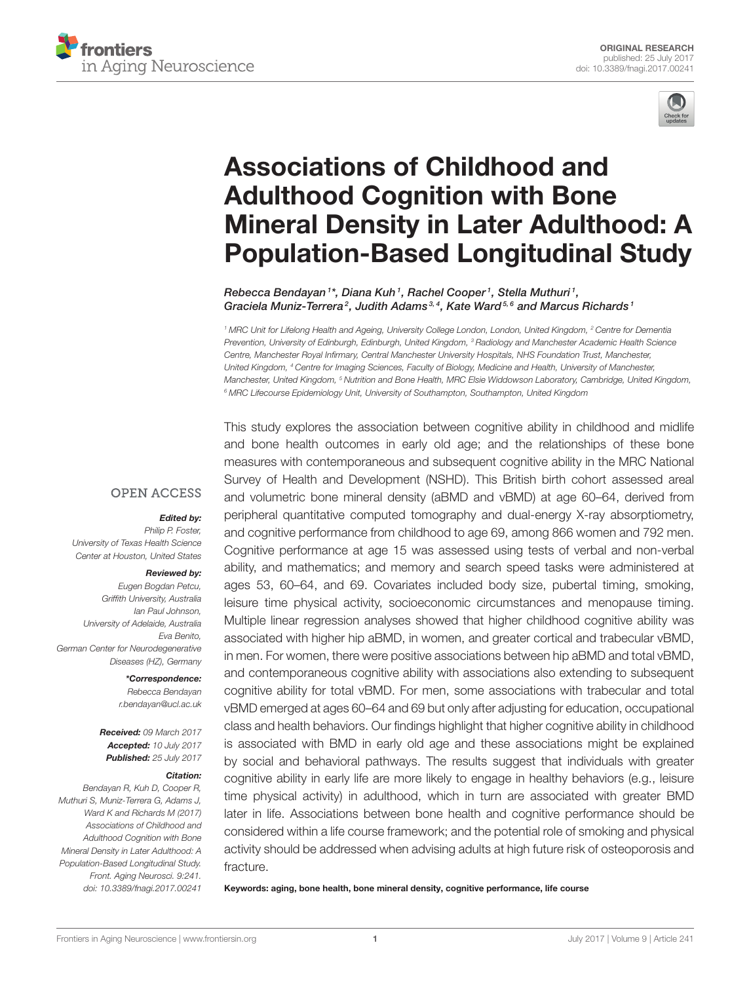



# Associations of Childhood and Adulthood Cognition with Bone [Mineral Density in Later Adulthood: A](http://journal.frontiersin.org/article/10.3389/fnagi.2017.00241/abstract) Population-Based Longitudinal Study

[Rebecca Bendayan](http://loop.frontiersin.org/people/421860/overview) <sup>1\*</sup>, Diana Kuh <sup>1</sup>, Rachel Cooper <sup>1</sup>, Stella Muthuri <sup>1</sup>, [Graciela Muniz-Terrera](http://loop.frontiersin.org/people/299890/overview)<sup>2</sup>, Judith Adams<sup>3,4</sup>, Kate Ward<sup>5,6</sup> and [Marcus Richards](http://loop.frontiersin.org/people/190830/overview)<sup>1</sup>

*<sup>1</sup> MRC Unit for Lifelong Health and Ageing, University College London, London, United Kingdom, <sup>2</sup> Centre for Dementia Prevention, University of Edinburgh, Edinburgh, United Kingdom, <sup>3</sup> Radiology and Manchester Academic Health Science Centre, Manchester Royal Infirmary, Central Manchester University Hospitals, NHS Foundation Trust, Manchester, United Kingdom, <sup>4</sup> Centre for Imaging Sciences, Faculty of Biology, Medicine and Health, University of Manchester, Manchester, United Kingdom, <sup>5</sup> Nutrition and Bone Health, MRC Elsie Widdowson Laboratory, Cambridge, United Kingdom, <sup>6</sup> MRC Lifecourse Epidemiology Unit, University of Southampton, Southampton, United Kingdom*

**OPEN ACCESS** 

#### Edited by:

*Philip P. Foster, University of Texas Health Science Center at Houston, United States*

#### Reviewed by:

*Eugen Bogdan Petcu, Griffith University, Australia Ian Paul Johnson, University of Adelaide, Australia Eva Benito, German Center for Neurodegenerative Diseases (HZ), Germany*

> \*Correspondence: *Rebecca Bendayan [r.bendayan@ucl.ac.uk](mailto:r.bendayan@ucl.ac.uk)*

Received: *09 March 2017* Accepted: *10 July 2017* Published: *25 July 2017*

#### Citation:

*Bendayan R, Kuh D, Cooper R, Muthuri S, Muniz-Terrera G, Adams J, Ward K and Richards M (2017) Associations of Childhood and Adulthood Cognition with Bone Mineral Density in Later Adulthood: A Population-Based Longitudinal Study. Front. Aging Neurosci. 9:241. doi: [10.3389/fnagi.2017.00241](https://doi.org/10.3389/fnagi.2017.00241)* This study explores the association between cognitive ability in childhood and midlife and bone health outcomes in early old age; and the relationships of these bone measures with contemporaneous and subsequent cognitive ability in the MRC National Survey of Health and Development (NSHD). This British birth cohort assessed areal and volumetric bone mineral density (aBMD and vBMD) at age 60–64, derived from peripheral quantitative computed tomography and dual-energy X-ray absorptiometry, and cognitive performance from childhood to age 69, among 866 women and 792 men. Cognitive performance at age 15 was assessed using tests of verbal and non-verbal ability, and mathematics; and memory and search speed tasks were administered at ages 53, 60–64, and 69. Covariates included body size, pubertal timing, smoking, leisure time physical activity, socioeconomic circumstances and menopause timing. Multiple linear regression analyses showed that higher childhood cognitive ability was associated with higher hip aBMD, in women, and greater cortical and trabecular vBMD, in men. For women, there were positive associations between hip aBMD and total vBMD, and contemporaneous cognitive ability with associations also extending to subsequent cognitive ability for total vBMD. For men, some associations with trabecular and total vBMD emerged at ages 60–64 and 69 but only after adjusting for education, occupational class and health behaviors. Our findings highlight that higher cognitive ability in childhood is associated with BMD in early old age and these associations might be explained by social and behavioral pathways. The results suggest that individuals with greater cognitive ability in early life are more likely to engage in healthy behaviors (e.g., leisure time physical activity) in adulthood, which in turn are associated with greater BMD later in life. Associations between bone health and cognitive performance should be considered within a life course framework; and the potential role of smoking and physical activity should be addressed when advising adults at high future risk of osteoporosis and fracture.

Keywords: aging, bone health, bone mineral density, cognitive performance, life course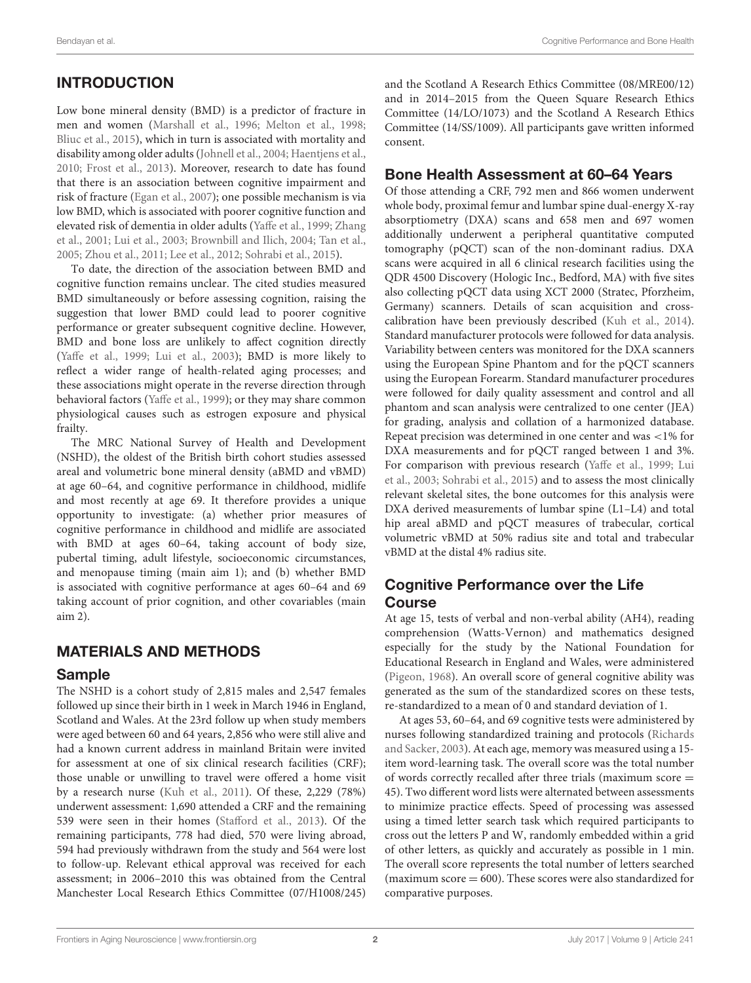# INTRODUCTION

Low bone mineral density (BMD) is a predictor of fracture in men and women [\(Marshall et al., 1996;](#page-9-0) [Melton et al., 1998;](#page-9-1) [Bliuc et al., 2015\)](#page-9-2), which in turn is associated with mortality and disability among older adults [\(Johnell et al., 2004;](#page-9-3) [Haentjens et al.,](#page-9-4) [2010;](#page-9-4) [Frost et al., 2013\)](#page-9-5). Moreover, research to date has found that there is an association between cognitive impairment and risk of fracture [\(Egan et al., 2007\)](#page-9-6); one possible mechanism is via low BMD, which is associated with poorer cognitive function and elevated risk of dementia in older adults [\(Yaffe et al., 1999;](#page-10-0) Zhang et al., [2001;](#page-10-1) [Lui et al., 2003;](#page-9-7) [Brownbill and Ilich, 2004;](#page-9-8) Tan [et al.,](#page-10-2) [2005;](#page-10-2) [Zhou et al., 2011;](#page-10-3) [Lee et al., 2012;](#page-9-9) [Sohrabi et al., 2015\)](#page-10-4).

To date, the direction of the association between BMD and cognitive function remains unclear. The cited studies measured BMD simultaneously or before assessing cognition, raising the suggestion that lower BMD could lead to poorer cognitive performance or greater subsequent cognitive decline. However, BMD and bone loss are unlikely to affect cognition directly [\(Yaffe et al., 1999;](#page-10-0) [Lui et al., 2003\)](#page-9-7); BMD is more likely to reflect a wider range of health-related aging processes; and these associations might operate in the reverse direction through behavioral factors [\(Yaffe et al., 1999\)](#page-10-0); or they may share common physiological causes such as estrogen exposure and physical frailty.

The MRC National Survey of Health and Development (NSHD), the oldest of the British birth cohort studies assessed areal and volumetric bone mineral density (aBMD and vBMD) at age 60–64, and cognitive performance in childhood, midlife and most recently at age 69. It therefore provides a unique opportunity to investigate: (a) whether prior measures of cognitive performance in childhood and midlife are associated with BMD at ages 60–64, taking account of body size, pubertal timing, adult lifestyle, socioeconomic circumstances, and menopause timing (main aim 1); and (b) whether BMD is associated with cognitive performance at ages 60–64 and 69 taking account of prior cognition, and other covariables (main aim 2).

#### MATERIALS AND METHODS

#### Sample

The NSHD is a cohort study of 2,815 males and 2,547 females followed up since their birth in 1 week in March 1946 in England, Scotland and Wales. At the 23rd follow up when study members were aged between 60 and 64 years, 2,856 who were still alive and had a known current address in mainland Britain were invited for assessment at one of six clinical research facilities (CRF); those unable or unwilling to travel were offered a home visit by a research nurse [\(Kuh et al., 2011\)](#page-9-10). Of these, 2,229 (78%) underwent assessment: 1,690 attended a CRF and the remaining 539 were seen in their homes [\(Stafford et al., 2013\)](#page-10-5). Of the remaining participants, 778 had died, 570 were living abroad, 594 had previously withdrawn from the study and 564 were lost to follow-up. Relevant ethical approval was received for each assessment; in 2006–2010 this was obtained from the Central Manchester Local Research Ethics Committee (07/H1008/245) and the Scotland A Research Ethics Committee (08/MRE00/12) and in 2014–2015 from the Queen Square Research Ethics Committee (14/LO/1073) and the Scotland A Research Ethics Committee (14/SS/1009). All participants gave written informed consent.

#### Bone Health Assessment at 60–64 Years

Of those attending a CRF, 792 men and 866 women underwent whole body, proximal femur and lumbar spine dual-energy X-ray absorptiometry (DXA) scans and 658 men and 697 women additionally underwent a peripheral quantitative computed tomography (pQCT) scan of the non-dominant radius. DXA scans were acquired in all 6 clinical research facilities using the QDR 4500 Discovery (Hologic Inc., Bedford, MA) with five sites also collecting pQCT data using XCT 2000 (Stratec, Pforzheim, Germany) scanners. Details of scan acquisition and crosscalibration have been previously described [\(Kuh et al., 2014\)](#page-9-11). Standard manufacturer protocols were followed for data analysis. Variability between centers was monitored for the DXA scanners using the European Spine Phantom and for the pQCT scanners using the European Forearm. Standard manufacturer procedures were followed for daily quality assessment and control and all phantom and scan analysis were centralized to one center (JEA) for grading, analysis and collation of a harmonized database. Repeat precision was determined in one center and was <1% for DXA measurements and for pQCT ranged between 1 and 3%. For comparison with previous research [\(Yaffe et al., 1999;](#page-10-0) Lui et al., [2003;](#page-9-7) [Sohrabi et al., 2015\)](#page-10-4) and to assess the most clinically relevant skeletal sites, the bone outcomes for this analysis were DXA derived measurements of lumbar spine (L1–L4) and total hip areal aBMD and pQCT measures of trabecular, cortical volumetric vBMD at 50% radius site and total and trabecular vBMD at the distal 4% radius site.

#### Cognitive Performance over the Life Course

At age 15, tests of verbal and non-verbal ability (AH4), reading comprehension (Watts-Vernon) and mathematics designed especially for the study by the National Foundation for Educational Research in England and Wales, were administered [\(Pigeon, 1968\)](#page-10-6). An overall score of general cognitive ability was generated as the sum of the standardized scores on these tests, re-standardized to a mean of 0 and standard deviation of 1.

At ages 53, 60–64, and 69 cognitive tests were administered by nurses following standardized training and protocols (Richards and Sacker, [2003\)](#page-10-7). At each age, memory was measured using a 15 item word-learning task. The overall score was the total number of words correctly recalled after three trials (maximum score = 45). Two different word lists were alternated between assessments to minimize practice effects. Speed of processing was assessed using a timed letter search task which required participants to cross out the letters P and W, randomly embedded within a grid of other letters, as quickly and accurately as possible in 1 min. The overall score represents the total number of letters searched (maximum score  $= 600$ ). These scores were also standardized for comparative purposes.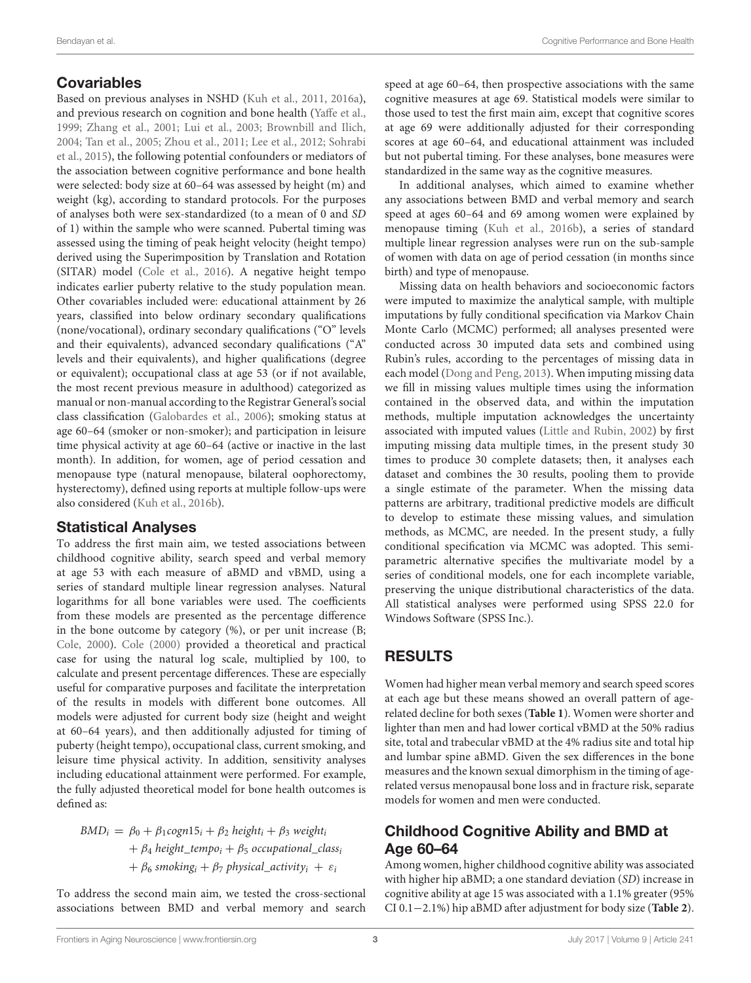## Covariables

Based on previous analyses in NSHD [\(Kuh et al., 2011,](#page-9-10) [2016a\)](#page-9-12), and previous research on cognition and bone health [\(Yaffe et al.,](#page-10-0) [1999;](#page-10-0) [Zhang et al., 2001;](#page-10-1) [Lui et al., 2003;](#page-9-7) [Brownbill and Ilich,](#page-9-8) [2004;](#page-9-8) [Tan et al., 2005;](#page-10-2) [Zhou et al., 2011;](#page-10-3) [Lee et al., 2012;](#page-9-9) Sohrabi et al., [2015\)](#page-10-4), the following potential confounders or mediators of the association between cognitive performance and bone health were selected: body size at 60–64 was assessed by height (m) and weight (kg), according to standard protocols. For the purposes of analyses both were sex-standardized (to a mean of 0 and SD of 1) within the sample who were scanned. Pubertal timing was assessed using the timing of peak height velocity (height tempo) derived using the Superimposition by Translation and Rotation (SITAR) model [\(Cole et al., 2016\)](#page-9-13). A negative height tempo indicates earlier puberty relative to the study population mean. Other covariables included were: educational attainment by 26 years, classified into below ordinary secondary qualifications (none/vocational), ordinary secondary qualifications ("O" levels and their equivalents), advanced secondary qualifications ("A" levels and their equivalents), and higher qualifications (degree or equivalent); occupational class at age 53 (or if not available, the most recent previous measure in adulthood) categorized as manual or non-manual according to the Registrar General's social class classification [\(Galobardes et al., 2006\)](#page-9-14); smoking status at age 60–64 (smoker or non-smoker); and participation in leisure time physical activity at age 60–64 (active or inactive in the last month). In addition, for women, age of period cessation and menopause type (natural menopause, bilateral oophorectomy, hysterectomy), defined using reports at multiple follow-ups were also considered [\(Kuh et al., 2016b\)](#page-9-15).

#### Statistical Analyses

To address the first main aim, we tested associations between childhood cognitive ability, search speed and verbal memory at age 53 with each measure of aBMD and vBMD, using a series of standard multiple linear regression analyses. Natural logarithms for all bone variables were used. The coefficients from these models are presented as the percentage difference in the bone outcome by category (%), or per unit increase (B; [Cole, 2000\)](#page-9-16). [Cole \(2000\)](#page-9-16) provided a theoretical and practical case for using the natural log scale, multiplied by 100, to calculate and present percentage differences. These are especially useful for comparative purposes and facilitate the interpretation of the results in models with different bone outcomes. All models were adjusted for current body size (height and weight at 60–64 years), and then additionally adjusted for timing of puberty (height tempo), occupational class, current smoking, and leisure time physical activity. In addition, sensitivity analyses including educational attainment were performed. For example, the fully adjusted theoretical model for bone health outcomes is defined as:

 $BMD_i = \beta_0 + \beta_1 \text{cogn15}_i + \beta_2 \text{ height}_i + \beta_3 \text{ weight}_i$ +  $\beta_4$  height\_tempo<sub>i</sub> +  $\beta_5$  occupational\_class<sub>i</sub>  $+ \beta_6$  smoking<sub>i</sub> +  $\beta_7$  physical activity<sub>i</sub> +  $\varepsilon_i$ 

To address the second main aim, we tested the cross-sectional associations between BMD and verbal memory and search

speed at age 60–64, then prospective associations with the same cognitive measures at age 69. Statistical models were similar to those used to test the first main aim, except that cognitive scores at age 69 were additionally adjusted for their corresponding scores at age 60–64, and educational attainment was included but not pubertal timing. For these analyses, bone measures were standardized in the same way as the cognitive measures.

In additional analyses, which aimed to examine whether any associations between BMD and verbal memory and search speed at ages 60–64 and 69 among women were explained by menopause timing [\(Kuh et al., 2016b\)](#page-9-15), a series of standard multiple linear regression analyses were run on the sub-sample of women with data on age of period cessation (in months since birth) and type of menopause.

Missing data on health behaviors and socioeconomic factors were imputed to maximize the analytical sample, with multiple imputations by fully conditional specification via Markov Chain Monte Carlo (MCMC) performed; all analyses presented were conducted across 30 imputed data sets and combined using Rubin's rules, according to the percentages of missing data in each model [\(Dong and Peng, 2013\)](#page-9-17). When imputing missing data we fill in missing values multiple times using the information contained in the observed data, and within the imputation methods, multiple imputation acknowledges the uncertainty associated with imputed values [\(Little and Rubin, 2002\)](#page-9-18) by first imputing missing data multiple times, in the present study 30 times to produce 30 complete datasets; then, it analyses each dataset and combines the 30 results, pooling them to provide a single estimate of the parameter. When the missing data patterns are arbitrary, traditional predictive models are difficult to develop to estimate these missing values, and simulation methods, as MCMC, are needed. In the present study, a fully conditional specification via MCMC was adopted. This semiparametric alternative specifies the multivariate model by a series of conditional models, one for each incomplete variable, preserving the unique distributional characteristics of the data. All statistical analyses were performed using SPSS 22.0 for Windows Software (SPSS Inc.).

## RESULTS

Women had higher mean verbal memory and search speed scores at each age but these means showed an overall pattern of agerelated decline for both sexes (**[Table 1](#page-3-0)**). Women were shorter and lighter than men and had lower cortical vBMD at the 50% radius site, total and trabecular vBMD at the 4% radius site and total hip and lumbar spine aBMD. Given the sex differences in the bone measures and the known sexual dimorphism in the timing of agerelated versus menopausal bone loss and in fracture risk, separate models for women and men were conducted.

# Childhood Cognitive Ability and BMD at Age 60–64

Among women, higher childhood cognitive ability was associated with higher hip aBMD; a one standard deviation (SD) increase in cognitive ability at age 15 was associated with a 1.1% greater (95% CI 0.1−2.1%) hip aBMD after adjustment for body size (**[Table 2](#page-4-0)**).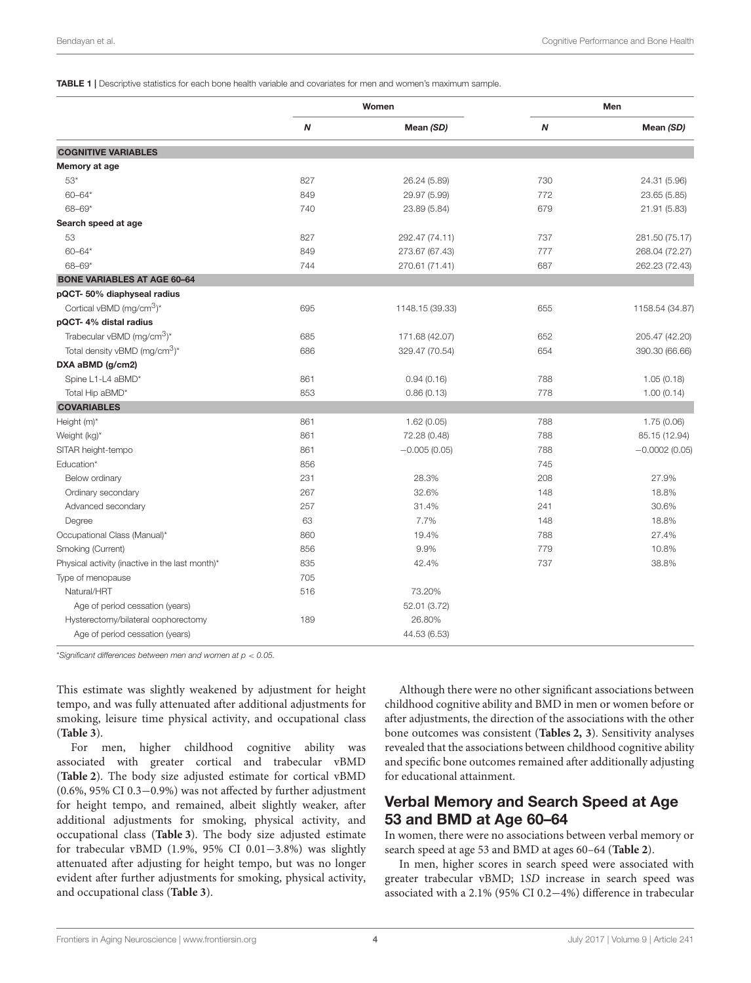<span id="page-3-0"></span>TABLE 1 | Descriptive statistics for each bone health variable and covariates for men and women's maximum sample.

|                                                    |     | Women           |     | Men             |
|----------------------------------------------------|-----|-----------------|-----|-----------------|
|                                                    | N   | Mean (SD)       | Ν   | Mean (SD)       |
| <b>COGNITIVE VARIABLES</b>                         |     |                 |     |                 |
| Memory at age                                      |     |                 |     |                 |
| $53*$                                              | 827 | 26.24 (5.89)    | 730 | 24.31 (5.96)    |
| $60 - 64*$                                         | 849 | 29.97 (5.99)    | 772 | 23.65 (5.85)    |
| $68 - 69*$                                         | 740 | 23.89 (5.84)    | 679 | 21.91 (5.83)    |
| Search speed at age                                |     |                 |     |                 |
| 53                                                 | 827 | 292.47 (74.11)  | 737 | 281.50 (75.17)  |
| $60 - 64*$                                         | 849 | 273.67 (67.43)  | 777 | 268.04 (72.27)  |
| $68 - 69*$                                         | 744 | 270.61 (71.41)  | 687 | 262.23 (72.43)  |
| <b>BONE VARIABLES AT AGE 60-64</b>                 |     |                 |     |                 |
| pQCT- 50% diaphyseal radius                        |     |                 |     |                 |
| Cortical vBMD ( $mg/cm3$ )*                        | 695 | 1148.15 (39.33) | 655 | 1158.54 (34.87) |
| pQCT-4% distal radius                              |     |                 |     |                 |
| Trabecular vBMD (mq/cm <sup>3</sup> ) <sup>*</sup> | 685 | 171.68 (42.07)  | 652 | 205.47 (42.20)  |
| Total density vBMD (mg/cm <sup>3</sup> )*          | 686 | 329.47 (70.54)  | 654 | 390.30 (66.66)  |
| DXA aBMD (g/cm2)                                   |     |                 |     |                 |
| Spine L1-L4 aBMD*                                  | 861 | 0.94(0.16)      | 788 | 1.05(0.18)      |
| Total Hip aBMD*                                    | 853 | 0.86(0.13)      | 778 | 1.00(0.14)      |
| <b>COVARIABLES</b>                                 |     |                 |     |                 |
| Height (m)*                                        | 861 | 1.62(0.05)      | 788 | 1.75(0.06)      |
| Weight (kg)*                                       | 861 | 72.28 (0.48)    | 788 | 85.15 (12.94)   |
| SITAR height-tempo                                 | 861 | $-0.005(0.05)$  | 788 | $-0.0002(0.05)$ |
| Education*                                         | 856 |                 | 745 |                 |
| Below ordinary                                     | 231 | 28.3%           | 208 | 27.9%           |
| Ordinary secondary                                 | 267 | 32.6%           | 148 | 18.8%           |
| Advanced secondary                                 | 257 | 31.4%           | 241 | 30.6%           |
| Degree                                             | 63  | 7.7%            | 148 | 18.8%           |
| Occupational Class (Manual)*                       | 860 | 19.4%           | 788 | 27.4%           |
| Smoking (Current)                                  | 856 | 9.9%            | 779 | 10.8%           |
| Physical activity (inactive in the last month)*    | 835 | 42.4%           | 737 | 38.8%           |
| Type of menopause                                  | 705 |                 |     |                 |
| Natural/HRT                                        | 516 | 73.20%          |     |                 |
| Age of period cessation (years)                    |     | 52.01 (3.72)    |     |                 |
| Hysterectomy/bilateral oophorectomy                | 189 | 26.80%          |     |                 |
| Age of period cessation (years)                    |     | 44.53 (6.53)    |     |                 |

\**Significant differences between men and women at p* < *0.05.*

This estimate was slightly weakened by adjustment for height tempo, and was fully attenuated after additional adjustments for smoking, leisure time physical activity, and occupational class (**[Table 3](#page-5-0)**).

For men, higher childhood cognitive ability was associated with greater cortical and trabecular vBMD (**[Table 2](#page-4-0)**). The body size adjusted estimate for cortical vBMD (0.6%, 95% CI 0.3−0.9%) was not affected by further adjustment for height tempo, and remained, albeit slightly weaker, after additional adjustments for smoking, physical activity, and occupational class (**[Table 3](#page-5-0)**). The body size adjusted estimate for trabecular vBMD (1.9%, 95% CI 0.01−3.8%) was slightly attenuated after adjusting for height tempo, but was no longer evident after further adjustments for smoking, physical activity, and occupational class (**[Table 3](#page-5-0)**).

Although there were no other significant associations between childhood cognitive ability and BMD in men or women before or after adjustments, the direction of the associations with the other bone outcomes was consistent (**[Tables 2,](#page-4-0) [3](#page-5-0)**). Sensitivity analyses revealed that the associations between childhood cognitive ability and specific bone outcomes remained after additionally adjusting for educational attainment.

#### Verbal Memory and Search Speed at Age 53 and BMD at Age 60–64

In women, there were no associations between verbal memory or search speed at age 53 and BMD at ages 60–64 (**[Table 2](#page-4-0)**).

In men, higher scores in search speed were associated with greater trabecular vBMD; 1SD increase in search speed was associated with a 2.1% (95% CI 0.2−4%) difference in trabecular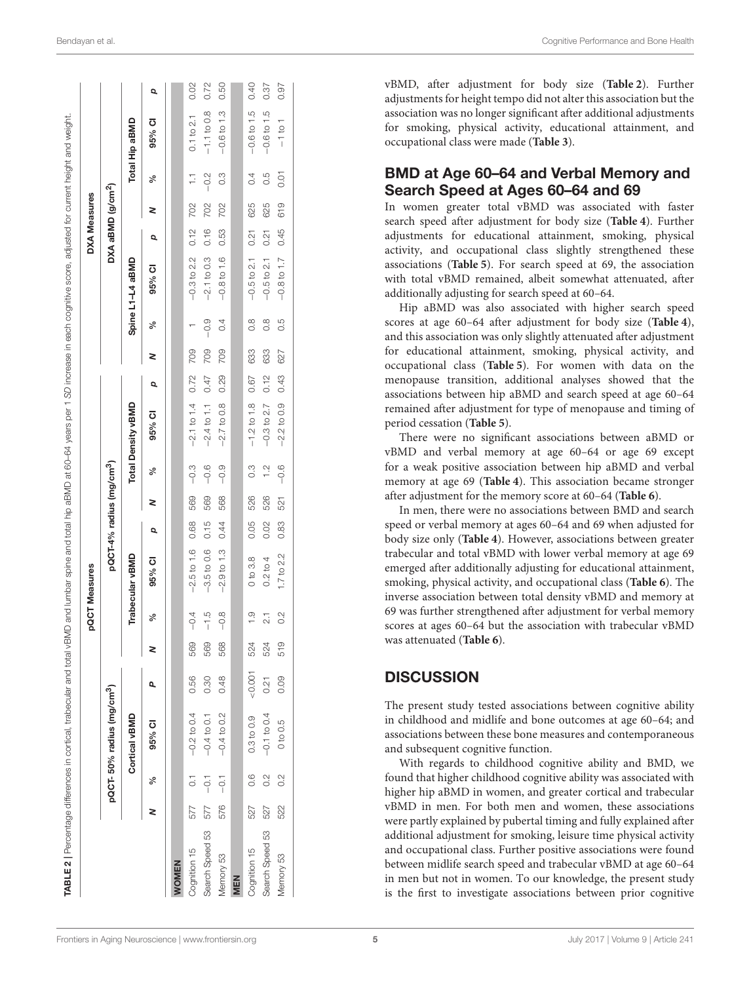| Bendayan et al. |  |  |
|-----------------|--|--|
|-----------------|--|--|

|                 |     |                |                                       |          |     |                | pQCT Measures   |                                      |     |               |                    |      |     |               |                  | <b>DXA Measures</b>           |     |               |                |      |
|-----------------|-----|----------------|---------------------------------------|----------|-----|----------------|-----------------|--------------------------------------|-----|---------------|--------------------|------|-----|---------------|------------------|-------------------------------|-----|---------------|----------------|------|
|                 |     |                | pQCT-50% radius (mg/cm <sup>3</sup> ) |          |     |                |                 | pQCT-4% radius (mg/cm <sup>3</sup> ) |     |               |                    |      |     |               |                  | DXA aBMD (g/cm <sup>2</sup> ) |     |               |                |      |
|                 |     |                | Cortical vBMD                         |          |     |                | Trabecular vBMD |                                      |     |               | Total Density vBMD |      |     |               | Spine L1-L4 aBMD |                               |     |               | Total Hip aBMD |      |
|                 | 2   | వ్             | 95% CI                                | Q,       | 2   | న్             | 95% CI          | Q                                    | 2   | ್ಲೆ           | 95% CI             | Q    | 2   | వ్            | 95% CI           | Q                             | 2   | న్            | 95% CI         | Q    |
| <b>WOMEN</b>    |     |                |                                       |          |     |                |                 |                                      |     |               |                    |      |     |               |                  |                               |     |               |                |      |
| Cognition 15    | 577 | $\overline{C}$ | $-0.2$ to 0.4                         | 0.56     | 569 | $-0.4$         | $-2.5$ to 1.6   | 0.68                                 | 569 | $-0.3$        | $-2.1$ to $1.4$    | 0.72 | 709 |               | $-0.3$ to 2.2    | 0.12                          | 702 | H             | $0.1$ to $2.1$ | 0.02 |
| Search Speed 53 | 577 | $-0.1$         | $-0.4$ to 0.1                         | 0.30     | 569 | $-1.5$         | $-3.5$ to 0.6   | 0.15                                 | 569 | $-0.6$        | $-2.4$ to 1.1      | 0.47 | 709 | $-0.9$        | $-2.1$ to 0.3    | 0.16                          | 702 | $-0.2$        | $-1.1$ to 0.8  | 0.72 |
| Memory 53       | 576 | $-0.1$         | $-0.4$ to 0.2                         | 0.48     | 568 | $-0.8$         | $-2.9$ to 1.3   | 0.44                                 | 568 | $-0.9$        | $-2.7$ to 0.8      | 0.29 | 709 | 0.4           | $-0.8$ to 1.6    | 0.53                          | 702 | $\frac{3}{2}$ | $-0.6$ to 1.3  | 0.50 |
| <b>MEN</b>      |     |                |                                       |          |     |                |                 |                                      |     |               |                    |      |     |               |                  |                               |     |               |                |      |
| Cognition 15    | 527 | 0.6            | 0.3 to 0.9                            | $-0.001$ | 524 | $\frac{0}{1}$  | 0 to 3.8        | 0.05                                 | 526 | $\frac{3}{2}$ | $-1.2$ to $1.8$    | 0.67 | 633 | $\frac{8}{2}$ | $-0.5$ to 2.1    | 0.21                          | 625 | 0.4           | $-0.6$ to 1.5  | 0.40 |
| Search Speed 53 | 527 | $\frac{2}{3}$  | $-0.1$ to 0.4                         | 0.21     | 524 | $\overline{2}$ | $0.2$ to $4$    | 0.02                                 | 526 | $\frac{1}{2}$ | $-0.3$ to 2.7      | 0.12 | 633 | 8.0           | $-0.5$ to 2.1    | 0.21                          | 625 | 0.5           | $-0.6$ to 1.5  | 0.37 |
| Memory 53       | 522 | $\frac{2}{3}$  | 0 to 0.5                              | 0.09     | 519 | $\frac{2}{3}$  | 1.7 to 2.2      | 0.83                                 | 521 | $-0.6$        | $-2.2$ to 0.9      | 0.43 | 627 | 50            | $-0.8$ to 1.7    | 0.45                          | 619 | 0.01          | $-1$ to 1      | 0.97 |

vBMD, after adjustment for body size (**[Table 2](#page-4-0)**). Further adjustments for height tempo did not alter this association but the association was no longer significant after additional adjustments for smoking, physical activity, educational attainment, and occupational class were made (**[Table 3](#page-5-0)**).

#### BMD at Age 60–64 and Verbal Memory and Search Speed at Ages 60–64 and 69

In women greater total vBMD was associated with faster search speed after adjustment for body size (**[Table 4](#page-6-0)**). Further adjustments for educational attainment, smoking, physical activity, and occupational class slightly strengthened these associations (**[Table 5](#page-7-0)**). For search speed at 69, the association with total vBMD remained, albeit somewhat attenuated, after additionally adjusting for search speed at 60–64.

Hip aBMD was also associated with higher search speed scores at age 60–64 after adjustment for body size (**[Table 4](#page-6-0)**), and this association was only slightly attenuated after adjustment for educational attainment, smoking, physical activity, and occupational class (**[Table 5](#page-7-0)**). For women with data on the menopause transition, additional analyses showed that the associations between hip aBMD and search speed at age 60–64 remained after adjustment for type of menopause and timing of period cessation (**[Table 5](#page-7-0)**).

There were no significant associations between aBMD or vBMD and verbal memory at age 60–64 or age 69 except for a weak positive association between hip aBMD and verbal memory at age 69 (**[Table 4](#page-6-0)**). This association became stronger after adjustment for the memory score at 60–64 (**[Table 6](#page-7-1)**).

In men, there were no associations between BMD and search speed or verbal memory at ages 60–64 and 69 when adjusted for body size only (**[Table 4](#page-6-0)**). However, associations between greater trabecular and total vBMD with lower verbal memory at age 69 emerged after additionally adjusting for educational attainment, smoking, physical activity, and occupational class (**[Table 6](#page-7-1)**). The inverse association between total density vBMD and memory at 69 was further strengthened after adjustment for verbal memory scores at ages 60–64 but the association with trabecular vBMD was attenuated (**[Table 6](#page-7-1)**).

#### **DISCUSSION**

The present study tested associations between cognitive ability in childhood and midlife and bone outcomes at age 60–64; and associations between these bone measures and contemporaneous and subsequent cognitive function.

<span id="page-4-0"></span>With regards to childhood cognitive ability and BMD, we found that higher childhood cognitive ability was associated with higher hip aBMD in women, and greater cortical and trabecular vBMD in men. For both men and women, these associations were partly explained by pubertal timing and fully explained after additional adjustment for smoking, leisure time physical activity and occupational class. Further positive associations were found between midlife search speed and trabecular vBMD at age 60–64 in men but not in women. To our knowledge, the present study is the first to investigate associations between prior cognitive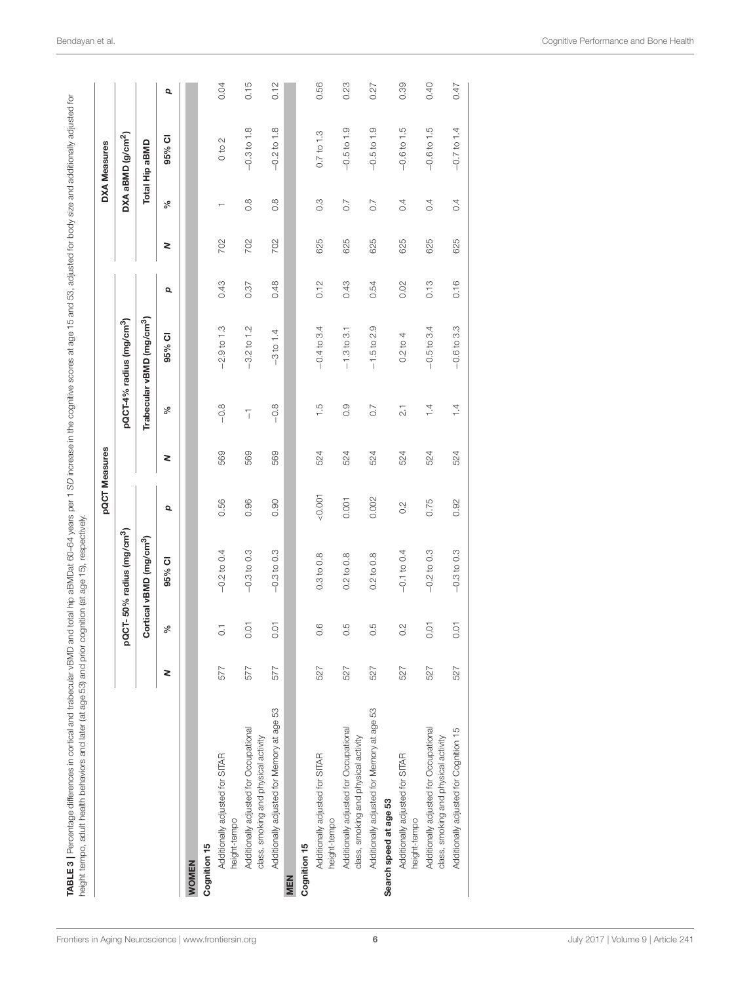<span id="page-5-0"></span>

|                                                                                |     |                |                                       |        | pQCT Measures |                  |                                       |      |     |                  | <b>DXA Measures</b>           |      |
|--------------------------------------------------------------------------------|-----|----------------|---------------------------------------|--------|---------------|------------------|---------------------------------------|------|-----|------------------|-------------------------------|------|
|                                                                                |     |                | pQCT-50% radius (mg/cm <sup>3</sup> ) |        |               |                  | pQCT-4% radius (mg/cm <sup>3</sup> )  |      |     |                  | DXA aBMD (g/cm <sup>2</sup> ) |      |
|                                                                                |     |                | Cortical vBMD (mg/cm <sup>3</sup> )   |        |               |                  | Trabecular vBMD (mg/cm <sup>3</sup> ) |      |     |                  | Total Hip aBMD                |      |
|                                                                                | 2   | న              | 95% CI                                | p      | 2             | ళ                | 95% CI                                | p    | 2   | ళ                | 95% CI                        | p    |
| <b>NOMEN</b>                                                                   |     |                |                                       |        |               |                  |                                       |      |     |                  |                               |      |
| Cognition 15                                                                   |     |                |                                       |        |               |                  |                                       |      |     |                  |                               |      |
| Additionally adjusted for SITAR<br>height-tempo                                | 577 | $\overline{C}$ | $-0.2$ to 0.4                         | 0.56   | 569           | $-0.8$           | $-2.9$ to 1.3                         | 0.43 | 702 |                  | $\sim$<br>$\frac{1}{2}$       | 0.04 |
| Additionally adjusted for Occupational<br>class, smoking and physical activity | 577 | 0.01           | $-0.3$ to 0.3                         | 0.96   | 569           | $\overline{1}$   | $-3.2$ to 1.2                         | 0.37 | 702 | $0.\overline{8}$ | $-0.3$ to 1.8                 | 0.15 |
| Additionally adjusted for Memory at age 53                                     | 577 | 0.01           | $-0.3$ to 0.3                         | 0.90   | 569           | $-0.8$           | $-3 to 1.4$                           | 0.48 | 702 | $0.\overline{8}$ | $-0.2$ to 1.8                 | 0.12 |
| MEN                                                                            |     |                |                                       |        |               |                  |                                       |      |     |                  |                               |      |
| Cognition 15                                                                   |     |                |                                       |        |               |                  |                                       |      |     |                  |                               |      |
| Additionally adjusted for SITAR<br>height-tempo                                | 527 | 0.6            | 0.3 to 0.8                            | &0.001 | 524           | $\frac{5}{1}$    | $-0.4$ to 3.4                         | 0.12 | 625 | $0.\overline{3}$ | $0.7$ to $1.3$                | 0.56 |
| Additionally adjusted for Occupational<br>class, smoking and physical activity | 527 | 0.5            | to $0.8$<br>0.2                       | 0.001  | 524           | 0.9              | $-1.3$ to 3.1                         | 0.43 | 625 | 0.7              | $-0.5$ to 1.9                 | 0.23 |
| Additionally adjusted for Memory at age 53<br>Search speed at age 53           | 527 | 0.5            | $0.2$ to $0.8$                        | 0.002  | 524           | 0.7              | $-1.5$ to 2.9                         | 0.54 | 625 | 0.7              | $-0.5$ to 1.9                 | 0.27 |
| Additionally adjusted for SITAR<br>height-tempo                                | 527 | 0.2            | $-0.1$ to 0.4                         | 0.2    | 524           | $\overline{2}$ . | 4<br>0.2 <sub>to</sub>                | 0.02 | 625 | 0.4              | $-0.6$ to 1.5                 | 0.39 |
| Additionally adjusted for Occupational<br>class, smoking and physical activity | 527 | 0.01           | $-0.2$ to 0.3                         | 0.75   | 524           | 1.4              | $-0.5$ to 3.4                         | 0.13 | 625 | 0.4              | $-0.6$ to 1.5                 | 0.40 |
| Additionally adjusted for Cognition 15                                         | 527 | 0.01           | $-0.3$ to 0.3                         | 0.92   | 524           | 1.4              | $-0.6$ to 3.3                         | 0.16 | 625 | 0.4              | $-0.7$ to 1.4                 | 0.47 |
|                                                                                |     |                |                                       |        |               |                  |                                       |      |     |                  |                               |      |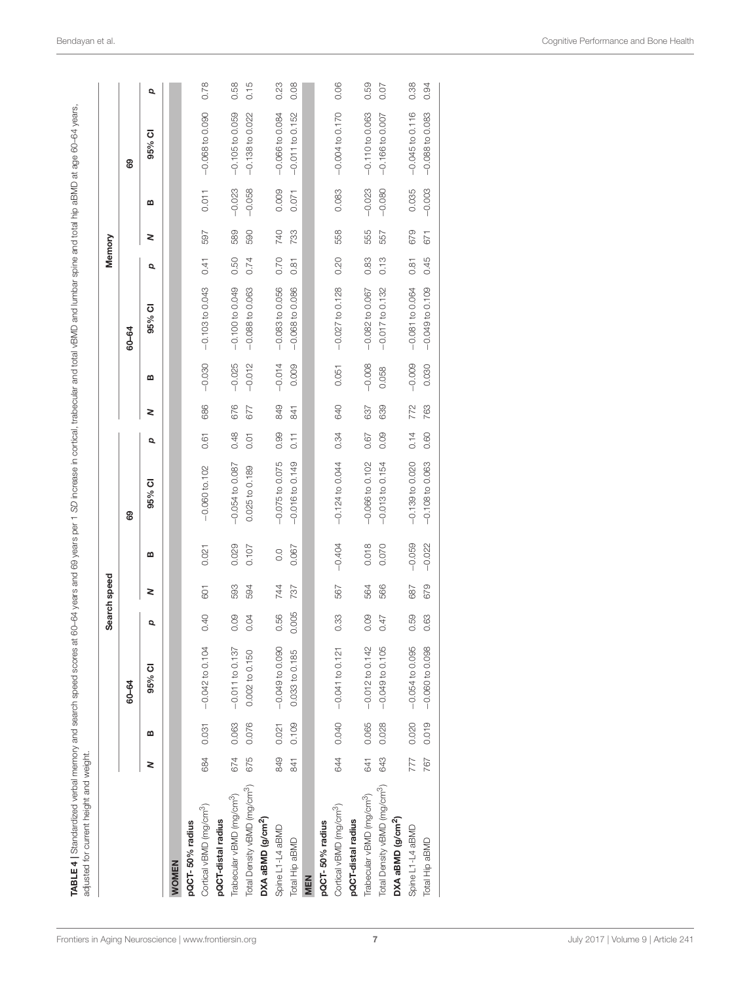<span id="page-6-0"></span>

|                                          |     |       |                            |       | Search speed |                |                     |      |     |          |                     | Memory |     |          |                   |              |
|------------------------------------------|-----|-------|----------------------------|-------|--------------|----------------|---------------------|------|-----|----------|---------------------|--------|-----|----------|-------------------|--------------|
|                                          |     |       | 60-64                      |       |              |                | 89                  |      |     |          | 60-64               |        |     |          | 89                |              |
|                                          | 2   | m     | 95% CI                     | Q     | 2            | മ              | 95% CI              | Q    | 2   | m        | 95% CI              | Q      | 2   | മ        | 95% CI            | p            |
| <b>WOMEN</b>                             |     |       |                            |       |              |                |                     |      |     |          |                     |        |     |          |                   |              |
| pQCT-50% radius                          |     |       |                            |       |              |                |                     |      |     |          |                     |        |     |          |                   |              |
| Cortical vBMD (mg/cm <sup>3</sup> )      | 684 | 0.031 | $-0.042$ to 0.104          | 0.40  | 601          | 0.021          | $-0.060$ to $102$   | 0.61 | 686 | $-0.030$ | $-0.103$ to 0.043   | 0.41   | 597 | 0.011    | $-0.068$ to 0.090 | 0.78         |
| pQCT-distal radius                       |     |       |                            |       |              |                |                     |      |     |          |                     |        |     |          |                   |              |
| Trabecular vBMD (mg/cm <sup>3</sup> )    | 674 | 0.063 | $-0.011$ to 0.137          | 0.09  | 593          | 0.029          | $-0.054$ to $0.087$ | 0.48 | 676 | $-0.025$ | $-0.100$ to 0.049   | 0.50   | 589 | $-0.023$ | $-0.105$ to 0.059 | 0.58         |
| Total Density vBMD (mg/cm <sup>3</sup> ) | 675 | 0.076 | 0.002 to 0.150             | 0.04  | 594          | 0.107          | 0.025 to 0.189      | 0.01 | 677 | $-0.012$ | $-0.088$ to 0.063   | 0.74   | 590 | $-0.058$ | $-0.138$ to 0.022 | 5<br>15      |
| DXA aBMD (g/cm <sup>2</sup> )            |     |       |                            |       |              |                |                     |      |     |          |                     |        |     |          |                   |              |
| Spine L1-L4 aBMD                         | 849 | 0.021 | $-0.049$ to 0.090          | 0.56  | 744          | $\overline{0}$ | $-0.075$ to 0.075   | 0.99 | 849 | $-0.014$ | $-0.083$ to 0.056   | 0.70   | 740 | 0.009    | $-0.066$ to 0.084 | 0.23         |
| Total Hip aBMD                           | 841 | 0.109 | 0.033 to 0.185             | 0.005 | 787          | 0.067          | $-0.016$ to 0.149   | 0.11 | 841 | 0.009    | $-0.068$ to $0.086$ | 0.81   | 733 | 0.071    | $-0.011$ to 0.152 | <b>80.08</b> |
| MEN                                      |     |       |                            |       |              |                |                     |      |     |          |                     |        |     |          |                   |              |
| pQCT-50% radius                          |     |       |                            |       |              |                |                     |      |     |          |                     |        |     |          |                   |              |
| Cortical vBMD (mg/cm <sup>3</sup> )      |     |       | 644 0.040 - 0.041 to 0.121 | 0.33  | 567          | $-0.404$       | $-0.124$ to 0.044   | 0.34 | 640 | 0.051    | $-0.027$ to 0.128   | 0.20   | 558 | 0.083    | $-0.004$ to 0.170 | 0.06         |
| pQCT-distal radius                       |     |       |                            |       |              |                |                     |      |     |          |                     |        |     |          |                   |              |
| Trabecular vBMD (mg/cm <sup>3</sup> )    | 641 | 0.065 | $-0.012$ to 0.142          | 0.09  | 564          | 0.018          | $-0.066$ to $0.102$ | 0.67 | 637 | $-0.008$ | $-0.082$ to 0.067   | 0.83   | 555 | $-0.023$ | $-0.110$ to 0.063 | 0.59         |
| Total Density vBMD (mg/cm <sup>3</sup> ) | 643 | 0.028 | $-0.049$ to 0.105          | 0.47  | 566          | 0.070          | $-0.013$ to 0.154   | 0.09 | 639 | 0.058    | $-0.017$ to 0.132   | 0.13   | 557 | $-0.080$ | $-0.166$ to 0.007 | 0.07         |
| DXA aBMD (g/cm <sup>2</sup> )            |     |       |                            |       |              |                |                     |      |     |          |                     |        |     |          |                   |              |
| Spine L1-L4 aBMD                         | 777 | 0.020 | $-0.054$ to 0.095          | 0.59  | 687          | $-0.059$       | $-0.139$ to $0.020$ | 0.14 | 772 | $-0.009$ | $-0.081$ to 0.064   | 0.81   | 679 | 0.035    | $-0.045$ to 0.116 | 0.38         |
| Total Hip aBMD                           | 767 | 0.019 | $-0.060$ to 0.098          | 0.63  | 679          | $-0.022$       | $-0.108$ to 0.063   | 0.60 | 763 | 0.030    | $-0.049$ to 0.109   | 0.45   | 671 | $-0.003$ | $-0.088$ to 0.083 | 0.94         |
|                                          |     |       |                            |       |              |                |                     |      |     |          |                     |        |     |          |                   |              |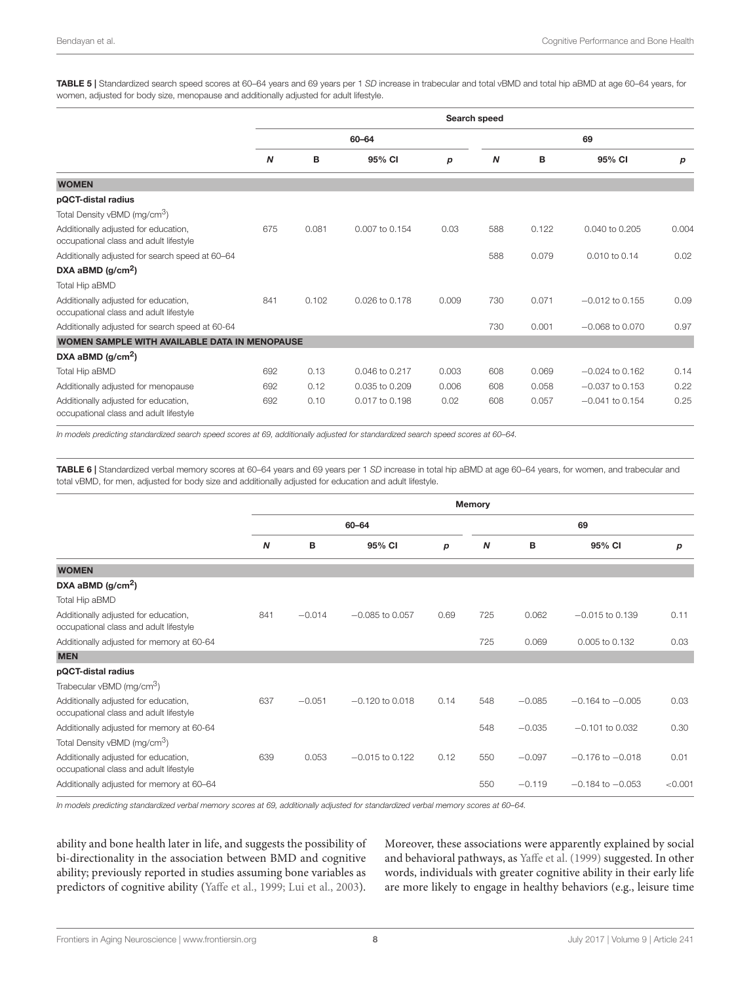<span id="page-7-0"></span>TABLE 5 | Standardized search speed scores at 60–64 years and 69 years per 1 *SD* increase in trabecular and total vBMD and total hip aBMD at age 60–64 years, for women, adjusted for body size, menopause and additionally adjusted for adult lifestyle.

|                                                                                |                  |       |                |       | Search speed     |       |                   |       |
|--------------------------------------------------------------------------------|------------------|-------|----------------|-------|------------------|-------|-------------------|-------|
|                                                                                |                  |       | 60-64          |       |                  |       | 69                |       |
|                                                                                | $\boldsymbol{N}$ | B     | 95% CI         | p     | $\boldsymbol{N}$ | в     | 95% CI            | р     |
| <b>WOMEN</b>                                                                   |                  |       |                |       |                  |       |                   |       |
| pQCT-distal radius                                                             |                  |       |                |       |                  |       |                   |       |
| Total Density vBMD (mg/cm <sup>3</sup> )                                       |                  |       |                |       |                  |       |                   |       |
| Additionally adjusted for education,<br>occupational class and adult lifestyle | 675              | 0.081 | 0.007 to 0.154 | 0.03  | 588              | 0.122 | 0.040 to 0.205    | 0.004 |
| Additionally adjusted for search speed at 60-64                                |                  |       |                |       | 588              | 0.079 | 0.010 to 0.14     | 0.02  |
| DXA aBMD $(g/cm2)$                                                             |                  |       |                |       |                  |       |                   |       |
| Total Hip aBMD                                                                 |                  |       |                |       |                  |       |                   |       |
| Additionally adjusted for education,<br>occupational class and adult lifestyle | 841              | 0.102 | 0.026 to 0.178 | 0.009 | 730              | 0.071 | $-0.012$ to 0.155 | 0.09  |
| Additionally adjusted for search speed at 60-64                                |                  |       |                |       | 730              | 0.001 | $-0.068$ to 0.070 | 0.97  |
| WOMEN SAMPLE WITH AVAILABLE DATA IN MENOPAUSE                                  |                  |       |                |       |                  |       |                   |       |
| DXA aBMD $(g/cm2)$                                                             |                  |       |                |       |                  |       |                   |       |
| Total Hip aBMD                                                                 | 692              | 0.13  | 0.046 to 0.217 | 0.003 | 608              | 0.069 | $-0.024$ to 0.162 | 0.14  |
| Additionally adjusted for menopause                                            | 692              | 0.12  | 0.035 to 0.209 | 0.006 | 608              | 0.058 | $-0.037$ to 0.153 | 0.22  |
| Additionally adjusted for education,<br>occupational class and adult lifestyle | 692              | 0.10  | 0.017 to 0.198 | 0.02  | 608              | 0.057 | $-0.041$ to 0.154 | 0.25  |

*In models predicting standardized search speed scores at 69, additionally adjusted for standardized search speed scores at 60–64.*

<span id="page-7-1"></span>TABLE 6 | Standardized verbal memory scores at 60–64 years and 69 years per 1 *SD* increase in total hip aBMD at age 60–64 years, for women, and trabecular and total vBMD, for men, adjusted for body size and additionally adjusted for education and adult lifestyle.

|                                                                                |     |          |                   |      | <b>Memory</b>    |          |                      |         |
|--------------------------------------------------------------------------------|-----|----------|-------------------|------|------------------|----------|----------------------|---------|
|                                                                                |     |          | 60-64             |      |                  |          | 69                   |         |
|                                                                                | N   | в        | 95% CI            | p    | $\boldsymbol{N}$ | в        | 95% CI               | р       |
| <b>WOMEN</b>                                                                   |     |          |                   |      |                  |          |                      |         |
| DXA aBMD $(g/cm2)$                                                             |     |          |                   |      |                  |          |                      |         |
| Total Hip aBMD                                                                 |     |          |                   |      |                  |          |                      |         |
| Additionally adjusted for education,<br>occupational class and adult lifestyle | 841 | $-0.014$ | $-0.085$ to 0.057 | 0.69 | 725              | 0.062    | $-0.015$ to 0.139    | 0.11    |
| Additionally adjusted for memory at 60-64                                      |     |          |                   |      | 725              | 0.069    | 0.005 to 0.132       | 0.03    |
| <b>MEN</b>                                                                     |     |          |                   |      |                  |          |                      |         |
| pQCT-distal radius                                                             |     |          |                   |      |                  |          |                      |         |
| Trabecular vBMD (mg/cm <sup>3</sup> )                                          |     |          |                   |      |                  |          |                      |         |
| Additionally adjusted for education,<br>occupational class and adult lifestyle | 637 | $-0.051$ | $-0.120$ to 0.018 | 0.14 | 548              | $-0.085$ | $-0.164$ to $-0.005$ | 0.03    |
| Additionally adjusted for memory at 60-64                                      |     |          |                   |      | 548              | $-0.035$ | $-0.101$ to 0.032    | 0.30    |
| Total Density vBMD (mg/cm <sup>3</sup> )                                       |     |          |                   |      |                  |          |                      |         |
| Additionally adjusted for education,<br>occupational class and adult lifestyle | 639 | 0.053    | $-0.015$ to 0.122 | 0.12 | 550              | $-0.097$ | $-0.176$ to $-0.018$ | 0.01    |
| Additionally adjusted for memory at 60-64                                      |     |          |                   |      | 550              | $-0.119$ | $-0.184$ to $-0.053$ | < 0.001 |

*In models predicting standardized verbal memory scores at 69, additionally adjusted for standardized verbal memory scores at 60–64.*

ability and bone health later in life, and suggests the possibility of bi-directionality in the association between BMD and cognitive ability; previously reported in studies assuming bone variables as predictors of cognitive ability [\(Yaffe et al., 1999;](#page-10-0) [Lui et al., 2003\)](#page-9-7). Moreover, these associations were apparently explained by social and behavioral pathways, as [Yaffe et al. \(1999\)](#page-10-0) suggested. In other words, individuals with greater cognitive ability in their early life are more likely to engage in healthy behaviors (e.g., leisure time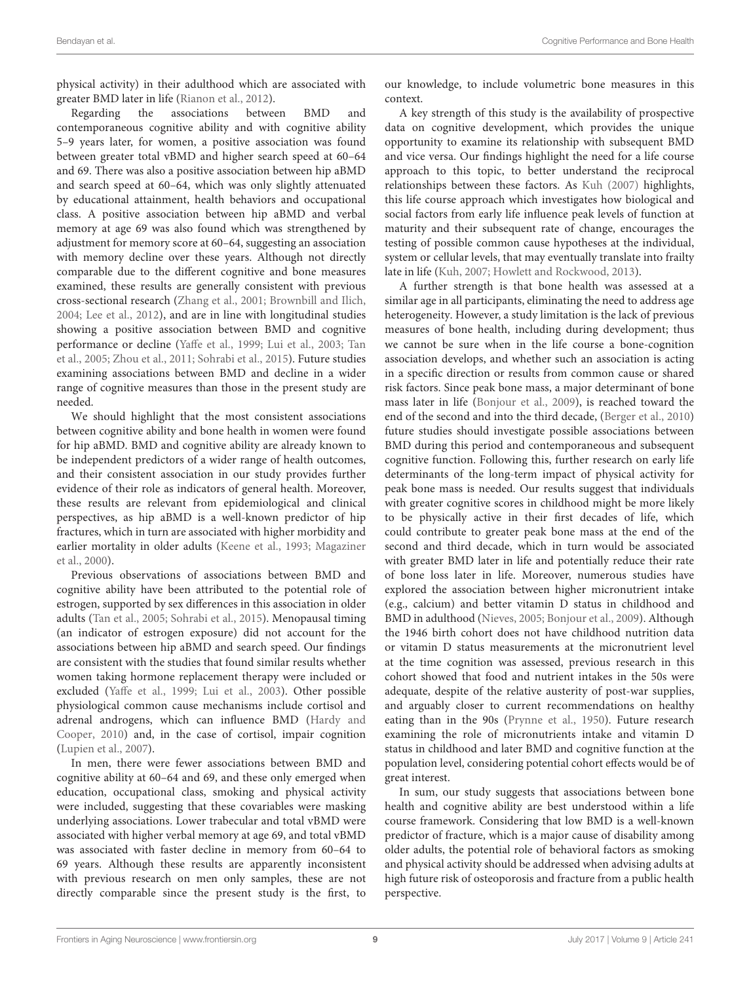physical activity) in their adulthood which are associated with greater BMD later in life [\(Rianon et al., 2012\)](#page-10-8).

Regarding the associations between BMD and contemporaneous cognitive ability and with cognitive ability 5–9 years later, for women, a positive association was found between greater total vBMD and higher search speed at 60–64 and 69. There was also a positive association between hip aBMD and search speed at 60–64, which was only slightly attenuated by educational attainment, health behaviors and occupational class. A positive association between hip aBMD and verbal memory at age 69 was also found which was strengthened by adjustment for memory score at 60–64, suggesting an association with memory decline over these years. Although not directly comparable due to the different cognitive and bone measures examined, these results are generally consistent with previous cross-sectional research [\(Zhang et al., 2001;](#page-10-1) [Brownbill and Ilich,](#page-9-8) [2004;](#page-9-8) [Lee et al., 2012\)](#page-9-9), and are in line with longitudinal studies showing a positive association between BMD and cognitive performance or decline [\(Yaffe et al., 1999;](#page-10-0) [Lui et al., 2003;](#page-9-7) Tan et al., [2005;](#page-10-2) [Zhou et al., 2011;](#page-10-3) [Sohrabi et al., 2015\)](#page-10-4). Future studies examining associations between BMD and decline in a wider range of cognitive measures than those in the present study are needed.

We should highlight that the most consistent associations between cognitive ability and bone health in women were found for hip aBMD. BMD and cognitive ability are already known to be independent predictors of a wider range of health outcomes, and their consistent association in our study provides further evidence of their role as indicators of general health. Moreover, these results are relevant from epidemiological and clinical perspectives, as hip aBMD is a well-known predictor of hip fractures, which in turn are associated with higher morbidity and earlier mortality in older adults [\(Keene et al., 1993;](#page-9-19) Magaziner et al., [2000\)](#page-9-20).

Previous observations of associations between BMD and cognitive ability have been attributed to the potential role of estrogen, supported by sex differences in this association in older adults [\(Tan et al., 2005;](#page-10-2) [Sohrabi et al., 2015\)](#page-10-4). Menopausal timing (an indicator of estrogen exposure) did not account for the associations between hip aBMD and search speed. Our findings are consistent with the studies that found similar results whether women taking hormone replacement therapy were included or excluded [\(Yaffe et al., 1999;](#page-10-0) [Lui et al., 2003\)](#page-9-7). Other possible physiological common cause mechanisms include cortisol and adrenal androgens, which can influence BMD (Hardy and Cooper, [2010\)](#page-9-21) and, in the case of cortisol, impair cognition [\(Lupien et al., 2007\)](#page-9-22).

In men, there were fewer associations between BMD and cognitive ability at 60–64 and 69, and these only emerged when education, occupational class, smoking and physical activity were included, suggesting that these covariables were masking underlying associations. Lower trabecular and total vBMD were associated with higher verbal memory at age 69, and total vBMD was associated with faster decline in memory from 60–64 to 69 years. Although these results are apparently inconsistent with previous research on men only samples, these are not directly comparable since the present study is the first, to

our knowledge, to include volumetric bone measures in this context.

A key strength of this study is the availability of prospective data on cognitive development, which provides the unique opportunity to examine its relationship with subsequent BMD and vice versa. Our findings highlight the need for a life course approach to this topic, to better understand the reciprocal relationships between these factors. As [Kuh \(2007\)](#page-9-23) highlights, this life course approach which investigates how biological and social factors from early life influence peak levels of function at maturity and their subsequent rate of change, encourages the testing of possible common cause hypotheses at the individual, system or cellular levels, that may eventually translate into frailty late in life [\(Kuh, 2007;](#page-9-23) [Howlett and Rockwood, 2013\)](#page-9-24).

A further strength is that bone health was assessed at a similar age in all participants, eliminating the need to address age heterogeneity. However, a study limitation is the lack of previous measures of bone health, including during development; thus we cannot be sure when in the life course a bone-cognition association develops, and whether such an association is acting in a specific direction or results from common cause or shared risk factors. Since peak bone mass, a major determinant of bone mass later in life [\(Bonjour et al., 2009\)](#page-9-25), is reached toward the end of the second and into the third decade, [\(Berger et al., 2010\)](#page-9-26) future studies should investigate possible associations between BMD during this period and contemporaneous and subsequent cognitive function. Following this, further research on early life determinants of the long-term impact of physical activity for peak bone mass is needed. Our results suggest that individuals with greater cognitive scores in childhood might be more likely to be physically active in their first decades of life, which could contribute to greater peak bone mass at the end of the second and third decade, which in turn would be associated with greater BMD later in life and potentially reduce their rate of bone loss later in life. Moreover, numerous studies have explored the association between higher micronutrient intake (e.g., calcium) and better vitamin D status in childhood and BMD in adulthood [\(Nieves, 2005;](#page-10-9) [Bonjour et al., 2009\)](#page-9-25). Although the 1946 birth cohort does not have childhood nutrition data or vitamin D status measurements at the micronutrient level at the time cognition was assessed, previous research in this cohort showed that food and nutrient intakes in the 50s were adequate, despite of the relative austerity of post-war supplies, and arguably closer to current recommendations on healthy eating than in the 90s [\(Prynne et al., 1950\)](#page-10-10). Future research examining the role of micronutrients intake and vitamin D status in childhood and later BMD and cognitive function at the population level, considering potential cohort effects would be of great interest.

In sum, our study suggests that associations between bone health and cognitive ability are best understood within a life course framework. Considering that low BMD is a well-known predictor of fracture, which is a major cause of disability among older adults, the potential role of behavioral factors as smoking and physical activity should be addressed when advising adults at high future risk of osteoporosis and fracture from a public health perspective.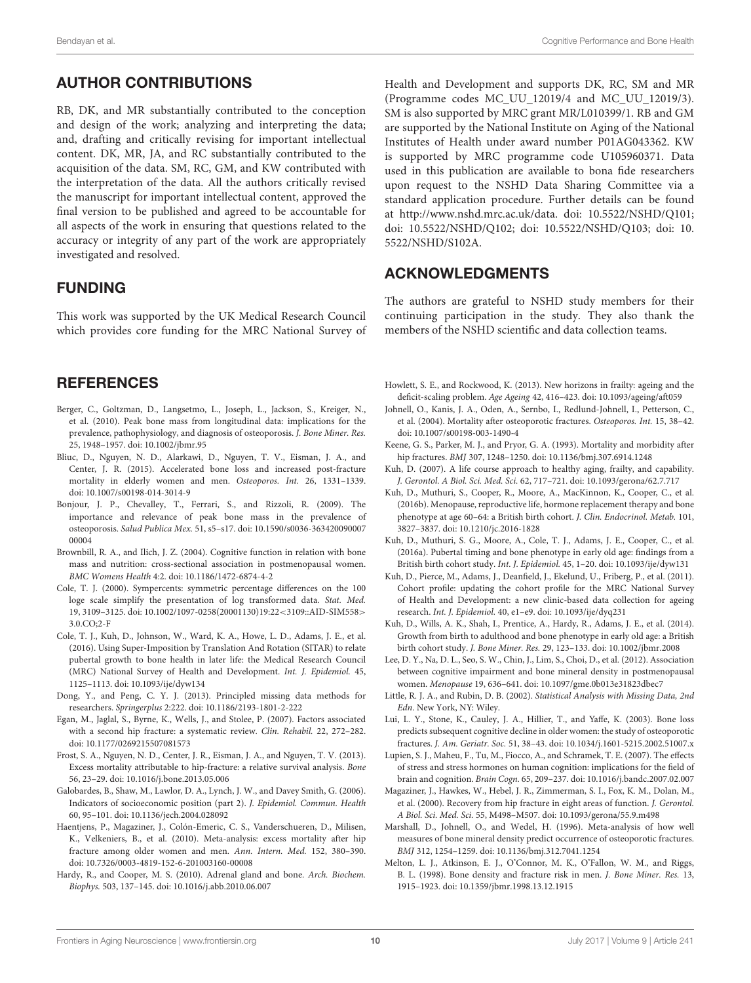# AUTHOR CONTRIBUTIONS

RB, DK, and MR substantially contributed to the conception and design of the work; analyzing and interpreting the data; and, drafting and critically revising for important intellectual content. DK, MR, JA, and RC substantially contributed to the acquisition of the data. SM, RC, GM, and KW contributed with the interpretation of the data. All the authors critically revised the manuscript for important intellectual content, approved the final version to be published and agreed to be accountable for all aspects of the work in ensuring that questions related to the accuracy or integrity of any part of the work are appropriately investigated and resolved.

## FUNDING

This work was supported by the UK Medical Research Council which provides core funding for the MRC National Survey of

## **REFERENCES**

- <span id="page-9-26"></span>Berger, C., Goltzman, D., Langsetmo, L., Joseph, L., Jackson, S., Kreiger, N., et al. (2010). Peak bone mass from longitudinal data: implications for the prevalence, pathophysiology, and diagnosis of osteoporosis. J. Bone Miner. Res. 25, 1948–1957. doi: [10.1002/jbmr.95](https://doi.org/10.1002/jbmr.95)
- <span id="page-9-2"></span>Bliuc, D., Nguyen, N. D., Alarkawi, D., Nguyen, T. V., Eisman, J. A., and Center, J. R. (2015). Accelerated bone loss and increased post-fracture mortality in elderly women and men. Osteoporos. Int. 26, 1331–1339. doi: [10.1007/s00198-014-3014-9](https://doi.org/10.1007/s00198-014-3014-9)
- <span id="page-9-25"></span>Bonjour, J. P., Chevalley, T., Ferrari, S., and Rizzoli, R. (2009). The importance and relevance of peak bone mass in the prevalence of osteoporosis. Salud Publica Mex. [51, s5–s17. doi: 10.1590/s0036-363420090007](https://doi.org/10.1590/s0036-36342009000700004) 00004
- <span id="page-9-8"></span>Brownbill, R. A., and Ilich, J. Z. (2004). Cognitive function in relation with bone mass and nutrition: cross-sectional association in postmenopausal women. BMC Womens Health 4:2. doi: [10.1186/1472-6874-4-2](https://doi.org/10.1186/1472-6874-4-2)
- <span id="page-9-16"></span>Cole, T. J. (2000). Sympercents: symmetric percentage differences on the 100 loge scale simplify the presentation of log transformed data. Stat. Med. [19, 3109–3125. doi: 10.1002/1097-0258\(20001130\)19:22](https://doi.org/10.1002/1097-0258(20001130)19:22<3109::AID-SIM558>3.0.CO;2-F)<3109::AID-SIM558> 3.0.CO;2-F
- <span id="page-9-13"></span>Cole, T. J., Kuh, D., Johnson, W., Ward, K. A., Howe, L. D., Adams, J. E., et al. (2016). Using Super-Imposition by Translation And Rotation (SITAR) to relate pubertal growth to bone health in later life: the Medical Research Council (MRC) National Survey of Health and Development. Int. J. Epidemiol. 45, 1125–1113. doi: [10.1093/ije/dyw134](https://doi.org/10.1093/ije/dyw134)
- <span id="page-9-17"></span>Dong, Y., and Peng, C. Y. J. (2013). Principled missing data methods for researchers. Springerplus 2:222. doi: [10.1186/2193-1801-2-222](https://doi.org/10.1186/2193-1801-2-222)
- <span id="page-9-6"></span>Egan, M., Jaglal, S., Byrne, K., Wells, J., and Stolee, P. (2007). Factors associated with a second hip fracture: a systematic review. Clin. Rehabil. 22, 272–282. doi: [10.1177/0269215507081573](https://doi.org/10.1177/0269215507081573)
- <span id="page-9-5"></span>Frost, S. A., Nguyen, N. D., Center, J. R., Eisman, J. A., and Nguyen, T. V. (2013). Excess mortality attributable to hip-fracture: a relative survival analysis. Bone 56, 23–29. doi: [10.1016/j.bone.2013.05.006](https://doi.org/10.1016/j.bone.2013.05.006)
- <span id="page-9-14"></span>Galobardes, B., Shaw, M., Lawlor, D. A., Lynch, J. W., and Davey Smith, G. (2006). Indicators of socioeconomic position (part 2). J. Epidemiol. Commun. Health 60, 95–101. doi: [10.1136/jech.2004.028092](https://doi.org/10.1136/jech.2004.028092)
- <span id="page-9-4"></span>Haentjens, P., Magaziner, J., Colón-Emeric, C. S., Vanderschueren, D., Milisen, K., Velkeniers, B., et al. (2010). Meta-analysis: excess mortality after hip fracture among older women and men. Ann. Intern. Med. 152, 380–390. doi: [10.7326/0003-4819-152-6-201003160-00008](https://doi.org/10.7326/0003-4819-152-6-201003160-00008)
- <span id="page-9-21"></span>Hardy, R., and Cooper, M. S. (2010). Adrenal gland and bone. Arch. Biochem. Biophys. 503, 137–145. doi: [10.1016/j.abb.2010.06.007](https://doi.org/10.1016/j.abb.2010.06.007)

Health and Development and supports DK, RC, SM and MR (Programme codes MC\_UU\_12019/4 and MC\_UU\_12019/3). SM is also supported by MRC grant MR/L010399/1. RB and GM are supported by the National Institute on Aging of the National Institutes of Health under award number P01AG043362. KW is supported by MRC programme code U105960371. Data used in this publication are available to bona fide researchers upon request to the NSHD Data Sharing Committee via a standard application procedure. Further details can be found at [http://www.nshd.mrc.ac.uk/data.](http://www.nshd.mrc.ac.uk/data) doi: [10.5522/NSHD/Q101;](https://doi.org/10.5522/NSHD/Q101) [doi: 10.5522/NSHD/Q102; doi: 10.5522/NSHD/Q103; doi: 10.](https://doi.org/10.5522/NSHD/S102A) 5522/NSHD/S102A.

#### ACKNOWLEDGMENTS

The authors are grateful to NSHD study members for their continuing participation in the study. They also thank the members of the NSHD scientific and data collection teams.

- <span id="page-9-24"></span>Howlett, S. E., and Rockwood, K. (2013). New horizons in frailty: ageing and the deficit-scaling problem. Age Ageing 42, 416–423. doi: [10.1093/ageing/aft059](https://doi.org/10.1093/ageing/aft059)
- <span id="page-9-3"></span>Johnell, O., Kanis, J. A., Oden, A., Sernbo, I., Redlund-Johnell, I., Petterson, C., et al. (2004). Mortality after osteoporotic fractures. Osteoporos. Int. 15, 38–42. doi: [10.1007/s00198-003-1490-4](https://doi.org/10.1007/s00198-003-1490-4)
- <span id="page-9-19"></span>Keene, G. S., Parker, M. J., and Pryor, G. A. (1993). Mortality and morbidity after hip fractures. BMJ 307, 1248–1250. doi: [10.1136/bmj.307.6914.1248](https://doi.org/10.1136/bmj.307.6914.1248)
- <span id="page-9-23"></span>Kuh, D. (2007). A life course approach to healthy aging, frailty, and capability. J. Gerontol. A Biol. Sci. Med. Sci. 62, 717–721. doi: [10.1093/gerona/62.7.717](https://doi.org/10.1093/gerona/62.7.717)
- <span id="page-9-15"></span>Kuh, D., Muthuri, S., Cooper, R., Moore, A., MacKinnon, K., Cooper, C., et al. (2016b). Menopause, reproductive life, hormone replacement therapy and bone phenotype at age 60–64: a British birth cohort. J. Clin. Endocrinol. Metab. 101, 3827–3837. doi: [10.1210/jc.2016-1828](https://doi.org/10.1210/jc.2016-1828)
- <span id="page-9-12"></span>Kuh, D., Muthuri, S. G., Moore, A., Cole, T. J., Adams, J. E., Cooper, C., et al. (2016a). Pubertal timing and bone phenotype in early old age: findings from a British birth cohort study. Int. J. Epidemiol. 45, 1–20. doi: [10.1093/ije/dyw131](https://doi.org/10.1093/ije/dyw131)
- <span id="page-9-10"></span>Kuh, D., Pierce, M., Adams, J., Deanfield, J., Ekelund, U., Friberg, P., et al. (2011). Cohort profile: updating the cohort profile for the MRC National Survey of Health and Development: a new clinic-based data collection for ageing research. Int. J. Epidemiol. 40, e1–e9. doi: [10.1093/ije/dyq231](https://doi.org/10.1093/ije/dyq231)
- <span id="page-9-11"></span>Kuh, D., Wills, A. K., Shah, I., Prentice, A., Hardy, R., Adams, J. E., et al. (2014). Growth from birth to adulthood and bone phenotype in early old age: a British birth cohort study. J. Bone Miner. Res. 29, 123–133. doi: [10.1002/jbmr.2008](https://doi.org/10.1002/jbmr.2008)
- <span id="page-9-9"></span>Lee, D. Y., Na, D. L., Seo, S. W., Chin, J., Lim, S., Choi, D., et al. (2012). Association between cognitive impairment and bone mineral density in postmenopausal women. Menopause 19, 636–641. doi: [10.1097/gme.0b013e31823dbec7](https://doi.org/10.1097/gme.0b013e31823dbec7)
- <span id="page-9-18"></span>Little, R. J. A., and Rubin, D. B. (2002). Statistical Analysis with Missing Data, 2nd Edn. New York, NY: Wiley.
- <span id="page-9-7"></span>Lui, L. Y., Stone, K., Cauley, J. A., Hillier, T., and Yaffe, K. (2003). Bone loss predicts subsequent cognitive decline in older women: the study of osteoporotic fractures. J. Am. Geriatr. Soc. 51, 38–43. doi: [10.1034/j.1601-5215.2002.51007.x](https://doi.org/10.1034/j.1601-5215.2002.51007.x)
- <span id="page-9-22"></span>Lupien, S. J., Maheu, F., Tu, M., Fiocco, A., and Schramek, T. E. (2007). The effects of stress and stress hormones on human cognition: implications for the field of brain and cognition. Brain Cogn. 65, 209–237. doi: [10.1016/j.bandc.2007.02.007](https://doi.org/10.1016/j.bandc.2007.02.007)
- <span id="page-9-20"></span>Magaziner, J., Hawkes, W., Hebel, J. R., Zimmerman, S. I., Fox, K. M., Dolan, M., et al. (2000). Recovery from hip fracture in eight areas of function. J. Gerontol. A Biol. Sci. Med. Sci. 55, M498–M507. doi: [10.1093/gerona/55.9.m498](https://doi.org/10.1093/gerona/55.9.m498)
- <span id="page-9-0"></span>Marshall, D., Johnell, O., and Wedel, H. (1996). Meta-analysis of how well measures of bone mineral density predict occurrence of osteoporotic fractures. BMJ 312, 1254–1259. doi: [10.1136/bmj.312.7041.1254](https://doi.org/10.1136/bmj.312.7041.1254)
- <span id="page-9-1"></span>Melton, L. J., Atkinson, E. J., O'Connor, M. K., O'Fallon, W. M., and Riggs, B. L. (1998). Bone density and fracture risk in men. J. Bone Miner. Res. 13, 1915–1923. doi: [10.1359/jbmr.1998.13.12.1915](https://doi.org/10.1359/jbmr.1998.13.12.1915)